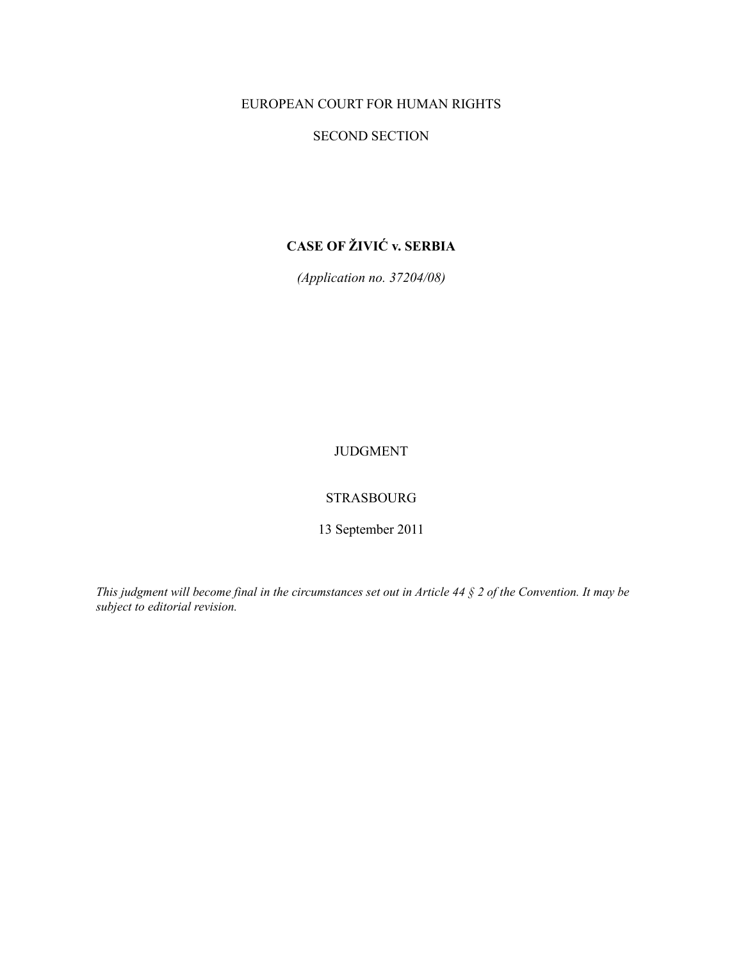# EUROPEAN COURT FOR HUMAN RIGHTS

## SECOND SECTION

# **CASE OF ŽIVIĆ v. SERBIA**

*(Application no. 37204/08)* 

# JUDGMENT

## STRASBOURG

13 September 2011

*This judgment will become final in the circumstances set out in Article 44 § 2 of the Convention. It may be subject to editorial revision.*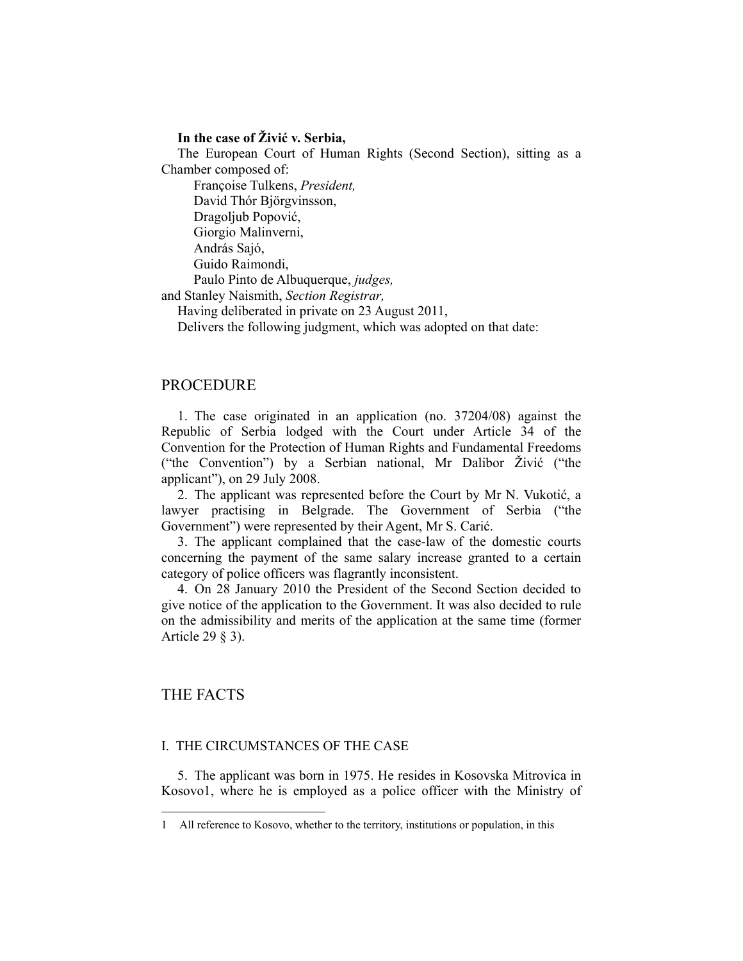## **In the case of Živić v. Serbia,**

The European Court of Human Rights (Second Section), sitting as a Chamber composed of:

Françoise Tulkens, *President,* 

David Thór Björgvinsson,

Dragoljub Popović,

Giorgio Malinverni,

András Sajó,

Guido Raimondi,

Paulo Pinto de Albuquerque, *judges,*

and Stanley Naismith, *Section Registrar,* 

Having deliberated in private on 23 August 2011,

Delivers the following judgment, which was adopted on that date:

## PROCEDURE

1. The case originated in an application (no. 37204/08) against the Republic of Serbia lodged with the Court under Article 34 of the Convention for the Protection of Human Rights and Fundamental Freedoms ("the Convention") by a Serbian national, Mr Dalibor Živić ("the applicant"), on 29 July 2008.

2. The applicant was represented before the Court by Mr N. Vukotić, a lawyer practising in Belgrade. The Government of Serbia ("the Government") were represented by their Agent, Mr S. Carić.

3. The applicant complained that the case-law of the domestic courts concerning the payment of the same salary increase granted to a certain category of police officers was flagrantly inconsistent.

4. On 28 January 2010 the President of the Second Section decided to give notice of the application to the Government. It was also decided to rule on the admissibility and merits of the application at the same time (former Article 29 § 3).

## THE FACTS

 $\overline{a}$ 

#### I. THE CIRCUMSTANCES OF THE CASE

5. The applicant was born in 1975. He resides in Kosovska Mitrovica in Kosovo1, where he is employed as a police officer with the Ministry of

<sup>1</sup> All reference to Kosovo, whether to the territory, institutions or population, in this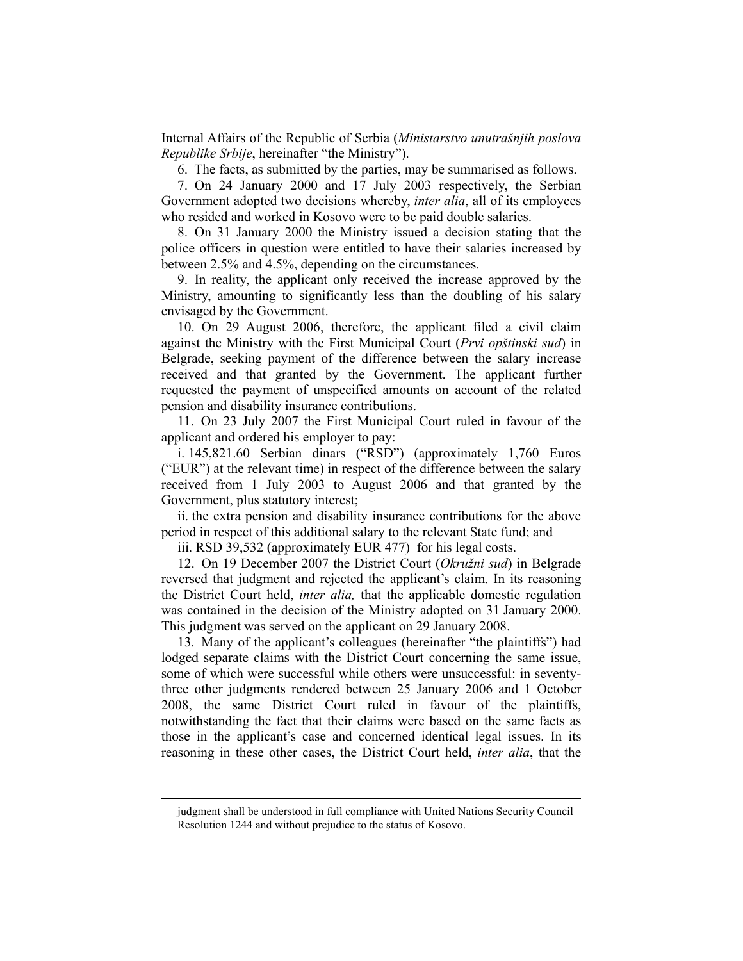Internal Affairs of the Republic of Serbia (*Ministarstvo unutrašnjih poslova Republike Srbije*, hereinafter "the Ministry").

6. The facts, as submitted by the parties, may be summarised as follows.

7. On 24 January 2000 and 17 July 2003 respectively, the Serbian Government adopted two decisions whereby, *inter alia*, all of its employees who resided and worked in Kosovo were to be paid double salaries.

8. On 31 January 2000 the Ministry issued a decision stating that the police officers in question were entitled to have their salaries increased by between 2.5% and 4.5%, depending on the circumstances.

9. In reality, the applicant only received the increase approved by the Ministry, amounting to significantly less than the doubling of his salary envisaged by the Government.

10. On 29 August 2006, therefore, the applicant filed a civil claim against the Ministry with the First Municipal Court (*Prvi opštinski sud*) in Belgrade, seeking payment of the difference between the salary increase received and that granted by the Government. The applicant further requested the payment of unspecified amounts on account of the related pension and disability insurance contributions.

11. On 23 July 2007 the First Municipal Court ruled in favour of the applicant and ordered his employer to pay:

i. 145,821.60 Serbian dinars ("RSD") (approximately 1,760 Euros ("EUR") at the relevant time) in respect of the difference between the salary received from 1 July 2003 to August 2006 and that granted by the Government, plus statutory interest;

ii. the extra pension and disability insurance contributions for the above period in respect of this additional salary to the relevant State fund; and

iii. RSD 39,532 (approximately EUR 477) for his legal costs.

12. On 19 December 2007 the District Court (*Okružni sud*) in Belgrade reversed that judgment and rejected the applicant's claim. In its reasoning the District Court held, *inter alia,* that the applicable domestic regulation was contained in the decision of the Ministry adopted on 31 January 2000. This judgment was served on the applicant on 29 January 2008.

13. Many of the applicant's colleagues (hereinafter "the plaintiffs") had lodged separate claims with the District Court concerning the same issue, some of which were successful while others were unsuccessful: in seventythree other judgments rendered between 25 January 2006 and 1 October 2008, the same District Court ruled in favour of the plaintiffs, notwithstanding the fact that their claims were based on the same facts as those in the applicant's case and concerned identical legal issues. In its reasoning in these other cases, the District Court held, *inter alia*, that the

judgment shall be understood in full compliance with United Nations Security Council Resolution 1244 and without prejudice to the status of Kosovo.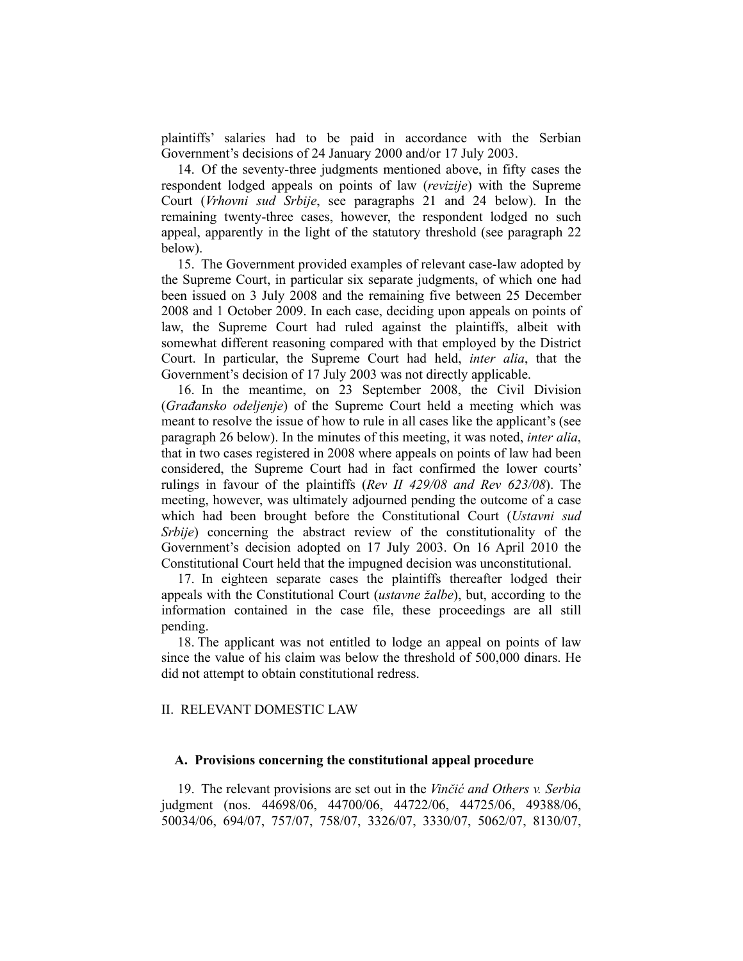plaintiffs' salaries had to be paid in accordance with the Serbian Government's decisions of 24 January 2000 and/or 17 July 2003.

14. Of the seventy-three judgments mentioned above, in fifty cases the respondent lodged appeals on points of law (*revizije*) with the Supreme Court (*Vrhovni sud Srbije*, see paragraphs 21 and 24 below). In the remaining twenty-three cases, however, the respondent lodged no such appeal, apparently in the light of the statutory threshold (see paragraph 22 below).

15. The Government provided examples of relevant case-law adopted by the Supreme Court, in particular six separate judgments, of which one had been issued on 3 July 2008 and the remaining five between 25 December 2008 and 1 October 2009. In each case, deciding upon appeals on points of law, the Supreme Court had ruled against the plaintiffs, albeit with somewhat different reasoning compared with that employed by the District Court. In particular, the Supreme Court had held, *inter alia*, that the Government's decision of 17 July 2003 was not directly applicable.

16. In the meantime, on 23 September 2008, the Civil Division (*Građansko odeljenje*) of the Supreme Court held a meeting which was meant to resolve the issue of how to rule in all cases like the applicant's (see paragraph 26 below). In the minutes of this meeting, it was noted, *inter alia*, that in two cases registered in 2008 where appeals on points of law had been considered, the Supreme Court had in fact confirmed the lower courts' rulings in favour of the plaintiffs (*Rev II 429/08 and Rev 623/08*). The meeting, however, was ultimately adjourned pending the outcome of a case which had been brought before the Constitutional Court (*Ustavni sud Srbije*) concerning the abstract review of the constitutionality of the Government's decision adopted on 17 July 2003. On 16 April 2010 the Constitutional Court held that the impugned decision was unconstitutional.

17. In eighteen separate cases the plaintiffs thereafter lodged their appeals with the Constitutional Court (*ustavne žalbe*), but, according to the information contained in the case file, these proceedings are all still pending.

18. The applicant was not entitled to lodge an appeal on points of law since the value of his claim was below the threshold of 500,000 dinars. He did not attempt to obtain constitutional redress.

#### II. RELEVANT DOMESTIC LAW

### **A. Provisions concerning the constitutional appeal procedure**

19. The relevant provisions are set out in the *Vinčić and Others v. Serbia* judgment (nos. 44698/06, 44700/06, 44722/06, 44725/06, 49388/06, 50034/06, 694/07, 757/07, 758/07, 3326/07, 3330/07, 5062/07, 8130/07,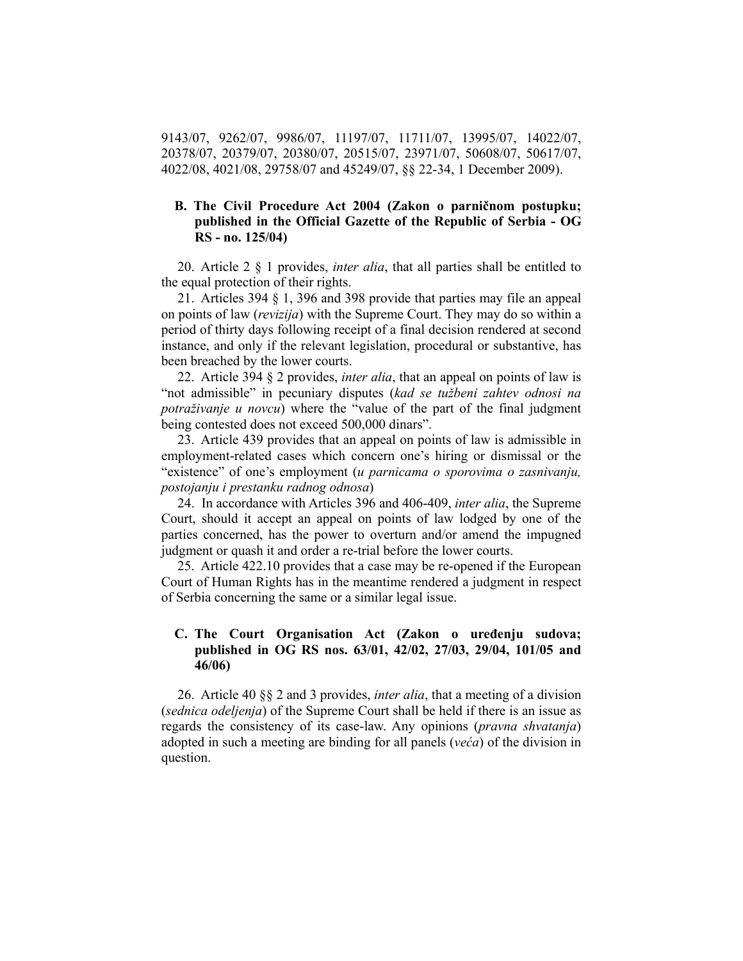9143/07, 9262/07, 9986/07, 11197/07, 11711/07, 13995/07, 14022/07, 20378/07, 20379/07, 20380/07, 20515/07, 23971/07, 50608/07, 50617/07, 4022/08, 4021/08, 29758/07 and 45249/07, §§ 22-34, 1 December 2009).

## **B. The Civil Procedure Act 2004 (Zakon o parničnom postupku; published in the Official Gazette of the Republic of Serbia - OG RS - no. 125/04)**

20. Article 2 § 1 provides, *inter alia*, that all parties shall be entitled to the equal protection of their rights.

21. Articles 394 § 1, 396 and 398 provide that parties may file an appeal on points of law (*revizija*) with the Supreme Court. They may do so within a period of thirty days following receipt of a final decision rendered at second instance, and only if the relevant legislation, procedural or substantive, has been breached by the lower courts.

22. Article 394 § 2 provides, *inter alia*, that an appeal on points of law is "not admissible" in pecuniary disputes (*kad se tužbeni zahtev odnosi na potraživanje u novcu*) where the "value of the part of the final judgment being contested does not exceed 500,000 dinars".

23. Article 439 provides that an appeal on points of law is admissible in employment-related cases which concern one's hiring or dismissal or the "existence" of one's employment (*u parnicama o sporovima o zasnivanju, postojanju i prestanku radnog odnosa*)

24. In accordance with Articles 396 and 406-409, *inter alia*, the Supreme Court, should it accept an appeal on points of law lodged by one of the parties concerned, has the power to overturn and/or amend the impugned judgment or quash it and order a re-trial before the lower courts.

25. Article 422.10 provides that a case may be re-opened if the European Court of Human Rights has in the meantime rendered a judgment in respect of Serbia concerning the same or a similar legal issue.

## **C. The Court Organisation Act (Zakon o uređenju sudova; published in OG RS nos. 63/01, 42/02, 27/03, 29/04, 101/05 and 46/06)**

26. Article 40 §§ 2 and 3 provides, *inter alia*, that a meeting of a division (*sednica odeljenja*) of the Supreme Court shall be held if there is an issue as regards the consistency of its case-law. Any opinions (*pravna shvatanja*) adopted in such a meeting are binding for all panels (*veća*) of the division in question.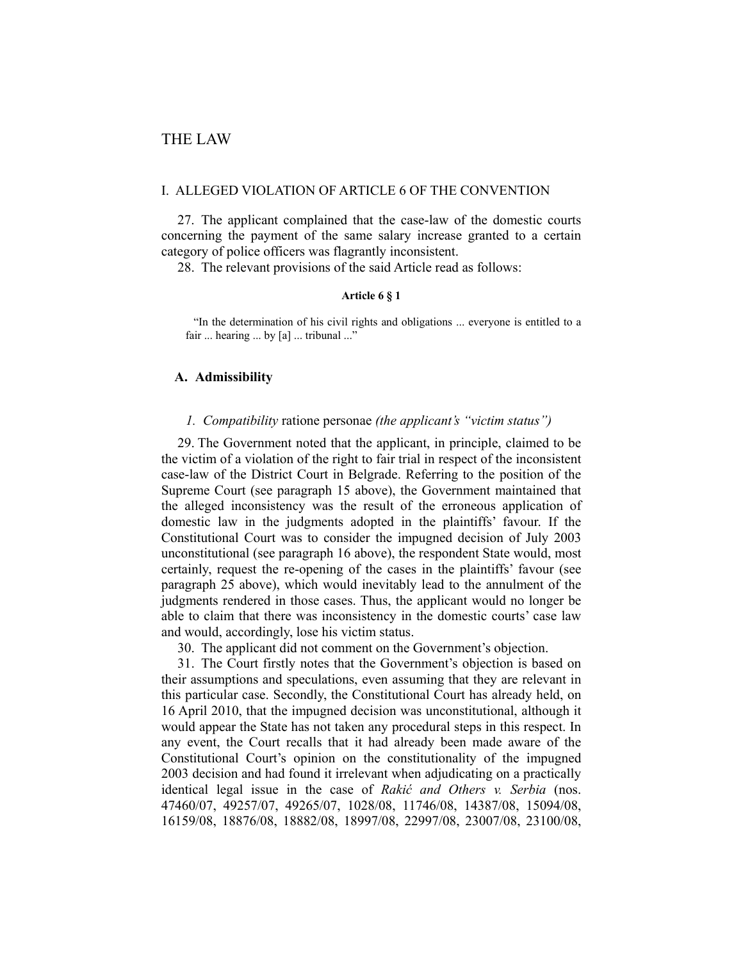#### I. ALLEGED VIOLATION OF ARTICLE 6 OF THE CONVENTION

27. The applicant complained that the case-law of the domestic courts concerning the payment of the same salary increase granted to a certain category of police officers was flagrantly inconsistent.

28. The relevant provisions of the said Article read as follows:

#### **Article 6 § 1**

"In the determination of his civil rights and obligations ... everyone is entitled to a fair ... hearing ... by [a] ... tribunal ..."

## **A. Admissibility**

## *1. Compatibility* ratione personae *(the applicant's "victim status")*

29. The Government noted that the applicant, in principle, claimed to be the victim of a violation of the right to fair trial in respect of the inconsistent case-law of the District Court in Belgrade. Referring to the position of the Supreme Court (see paragraph 15 above), the Government maintained that the alleged inconsistency was the result of the erroneous application of domestic law in the judgments adopted in the plaintiffs' favour. If the Constitutional Court was to consider the impugned decision of July 2003 unconstitutional (see paragraph 16 above), the respondent State would, most certainly, request the re-opening of the cases in the plaintiffs' favour (see paragraph 25 above), which would inevitably lead to the annulment of the judgments rendered in those cases. Thus, the applicant would no longer be able to claim that there was inconsistency in the domestic courts' case law and would, accordingly, lose his victim status.

30. The applicant did not comment on the Government's objection.

31. The Court firstly notes that the Government's objection is based on their assumptions and speculations, even assuming that they are relevant in this particular case. Secondly, the Constitutional Court has already held, on 16 April 2010, that the impugned decision was unconstitutional, although it would appear the State has not taken any procedural steps in this respect. In any event, the Court recalls that it had already been made aware of the Constitutional Court's opinion on the constitutionality of the impugned 2003 decision and had found it irrelevant when adjudicating on a practically identical legal issue in the case of *Rakić and Others v. Serbia* (nos. 47460/07, 49257/07, 49265/07, 1028/08, 11746/08, 14387/08, 15094/08, 16159/08, 18876/08, 18882/08, 18997/08, 22997/08, 23007/08, 23100/08,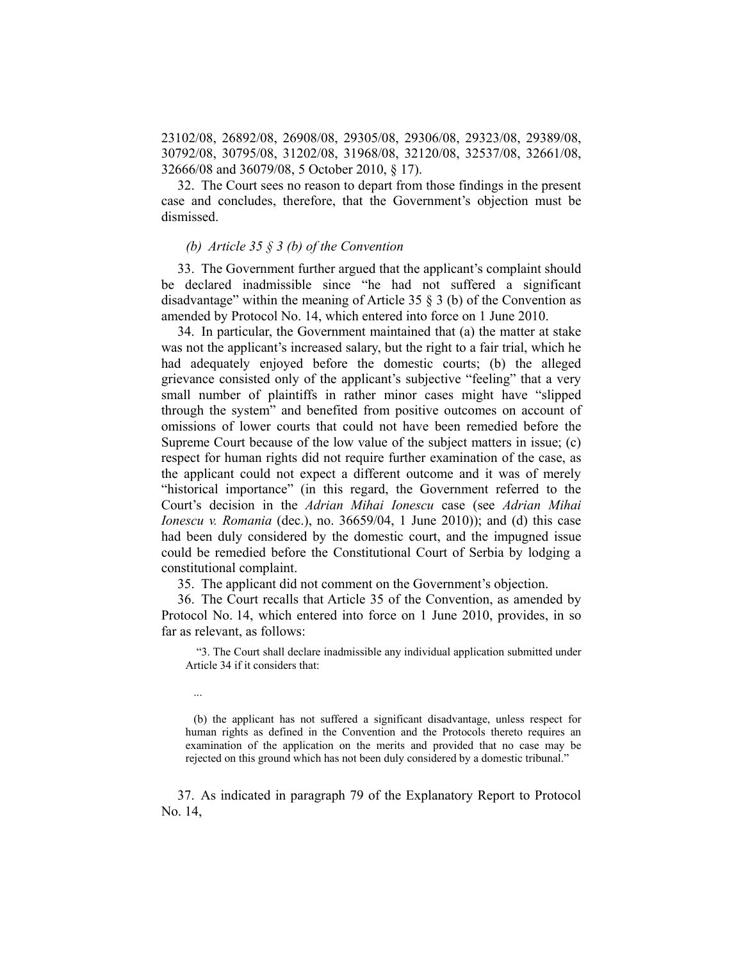23102/08, 26892/08, 26908/08, 29305/08, 29306/08, 29323/08, 29389/08, 30792/08, 30795/08, 31202/08, 31968/08, 32120/08, 32537/08, 32661/08, 32666/08 and 36079/08, 5 October 2010, § 17).

32. The Court sees no reason to depart from those findings in the present case and concludes, therefore, that the Government's objection must be dismissed.

#### *(b) Article 35 § 3 (b) of the Convention*

33. The Government further argued that the applicant's complaint should be declared inadmissible since "he had not suffered a significant disadvantage" within the meaning of Article 35 § 3 (b) of the Convention as amended by Protocol No. 14, which entered into force on 1 June 2010.

34. In particular, the Government maintained that (a) the matter at stake was not the applicant's increased salary, but the right to a fair trial, which he had adequately enjoyed before the domestic courts; (b) the alleged grievance consisted only of the applicant's subjective "feeling" that a very small number of plaintiffs in rather minor cases might have "slipped through the system" and benefited from positive outcomes on account of omissions of lower courts that could not have been remedied before the Supreme Court because of the low value of the subject matters in issue; (c) respect for human rights did not require further examination of the case, as the applicant could not expect a different outcome and it was of merely "historical importance" (in this regard, the Government referred to the Court's decision in the *Adrian Mihai Ionescu* case (see *Adrian Mihai Ionescu v. Romania* (dec.), no. 36659/04, 1 June 2010)); and (d) this case had been duly considered by the domestic court, and the impugned issue could be remedied before the Constitutional Court of Serbia by lodging a constitutional complaint.

35. The applicant did not comment on the Government's objection.

36. The Court recalls that Article 35 of the Convention, as amended by Protocol No. 14, which entered into force on 1 June 2010, provides, in so far as relevant, as follows:

 "3. The Court shall declare inadmissible any individual application submitted under Article 34 if it considers that:

...

(b) the applicant has not suffered a significant disadvantage, unless respect for human rights as defined in the Convention and the Protocols thereto requires an examination of the application on the merits and provided that no case may be rejected on this ground which has not been duly considered by a domestic tribunal."

37. As indicated in paragraph 79 of the Explanatory Report to Protocol No. 14,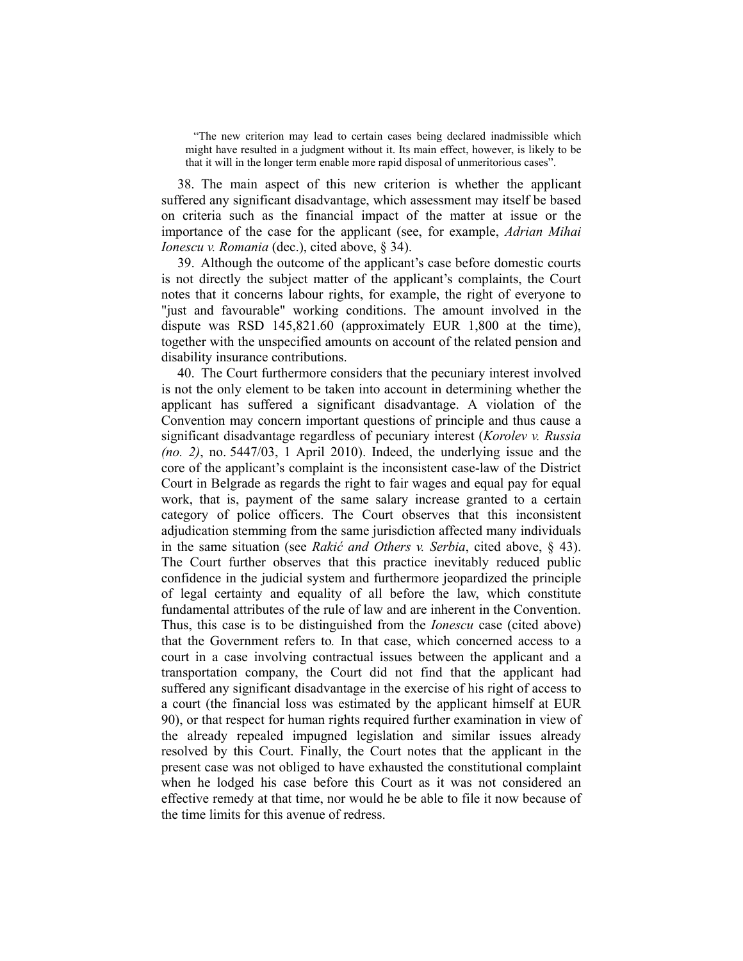"The new criterion may lead to certain cases being declared inadmissible which might have resulted in a judgment without it. Its main effect, however, is likely to be that it will in the longer term enable more rapid disposal of unmeritorious cases".

38. The main aspect of this new criterion is whether the applicant suffered any significant disadvantage, which assessment may itself be based on criteria such as the financial impact of the matter at issue or the importance of the case for the applicant (see, for example, *Adrian Mihai Ionescu v. Romania* (dec.), cited above, § 34).

39. Although the outcome of the applicant's case before domestic courts is not directly the subject matter of the applicant's complaints, the Court notes that it concerns labour rights, for example, the right of everyone to "just and favourable" working conditions. The amount involved in the dispute was RSD 145,821.60 (approximately EUR 1,800 at the time), together with the unspecified amounts on account of the related pension and disability insurance contributions.

40. The Court furthermore considers that the pecuniary interest involved is not the only element to be taken into account in determining whether the applicant has suffered a significant disadvantage. A violation of the Convention may concern important questions of principle and thus cause a significant disadvantage regardless of pecuniary interest (*Korolev v. Russia (no. 2)*, no. 5447/03, 1 April 2010). Indeed, the underlying issue and the core of the applicant's complaint is the inconsistent case-law of the District Court in Belgrade as regards the right to fair wages and equal pay for equal work, that is, payment of the same salary increase granted to a certain category of police officers. The Court observes that this inconsistent adjudication stemming from the same jurisdiction affected many individuals in the same situation (see *Rakić and Others v. Serbia*, cited above, § 43). The Court further observes that this practice inevitably reduced public confidence in the judicial system and furthermore jeopardized the principle of legal certainty and equality of all before the law, which constitute fundamental attributes of the rule of law and are inherent in the Convention. Thus, this case is to be distinguished from the *Ionescu* case (cited above) that the Government refers to*.* In that case, which concerned access to a court in a case involving contractual issues between the applicant and a transportation company, the Court did not find that the applicant had suffered any significant disadvantage in the exercise of his right of access to a court (the financial loss was estimated by the applicant himself at EUR 90), or that respect for human rights required further examination in view of the already repealed impugned legislation and similar issues already resolved by this Court. Finally, the Court notes that the applicant in the present case was not obliged to have exhausted the constitutional complaint when he lodged his case before this Court as it was not considered an effective remedy at that time, nor would he be able to file it now because of the time limits for this avenue of redress.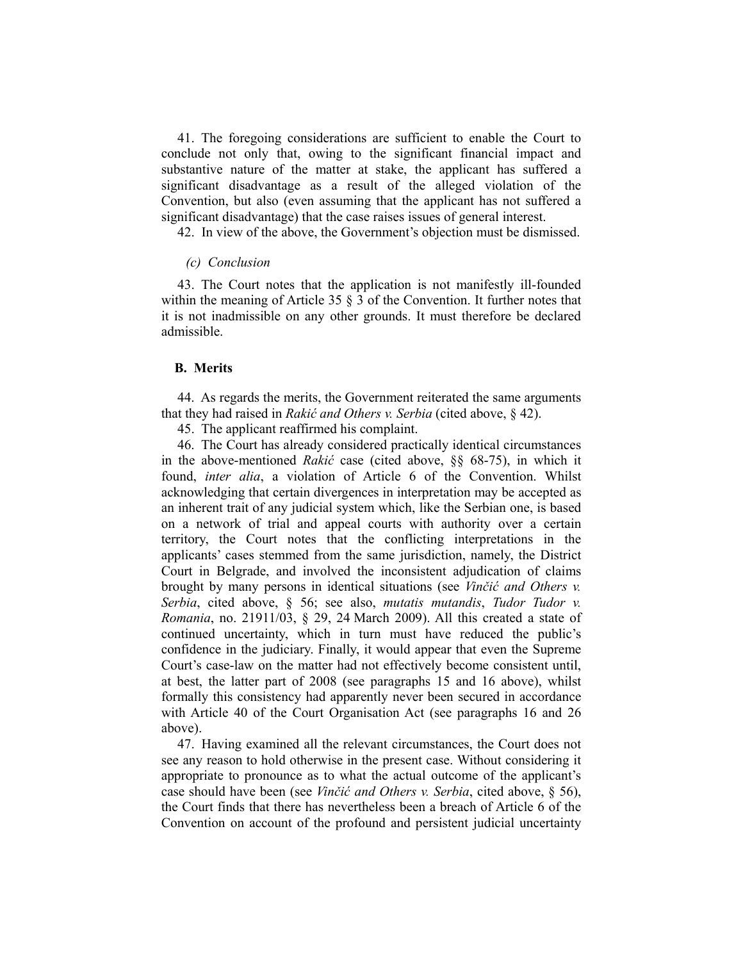41. The foregoing considerations are sufficient to enable the Court to conclude not only that, owing to the significant financial impact and substantive nature of the matter at stake, the applicant has suffered a significant disadvantage as a result of the alleged violation of the Convention, but also (even assuming that the applicant has not suffered a significant disadvantage) that the case raises issues of general interest.

42. In view of the above, the Government's objection must be dismissed.

#### *(c) Conclusion*

43. The Court notes that the application is not manifestly ill-founded within the meaning of Article 35 § 3 of the Convention. It further notes that it is not inadmissible on any other grounds. It must therefore be declared admissible.

#### **B. Merits**

44. As regards the merits, the Government reiterated the same arguments that they had raised in *Rakić and Others v. Serbia* (cited above, § 42).

45. The applicant reaffirmed his complaint.

46. The Court has already considered practically identical circumstances in the above-mentioned *Rakić* case (cited above, §§ 68-75), in which it found, *inter alia*, a violation of Article 6 of the Convention. Whilst acknowledging that certain divergences in interpretation may be accepted as an inherent trait of any judicial system which, like the Serbian one, is based on a network of trial and appeal courts with authority over a certain territory, the Court notes that the conflicting interpretations in the applicants' cases stemmed from the same jurisdiction, namely, the District Court in Belgrade, and involved the inconsistent adjudication of claims brought by many persons in identical situations (see *Vinčić and Others v. Serbia*, cited above, § 56; see also, *mutatis mutandis*, *Tudor Tudor v. Romania*, no. 21911/03, § 29, 24 March 2009). All this created a state of continued uncertainty, which in turn must have reduced the public's confidence in the judiciary. Finally, it would appear that even the Supreme Court's case-law on the matter had not effectively become consistent until, at best, the latter part of 2008 (see paragraphs 15 and 16 above), whilst formally this consistency had apparently never been secured in accordance with Article 40 of the Court Organisation Act (see paragraphs 16 and 26 above).

47. Having examined all the relevant circumstances, the Court does not see any reason to hold otherwise in the present case. Without considering it appropriate to pronounce as to what the actual outcome of the applicant's case should have been (see *Vinčić and Others v. Serbia*, cited above, § 56), the Court finds that there has nevertheless been a breach of Article 6 of the Convention on account of the profound and persistent judicial uncertainty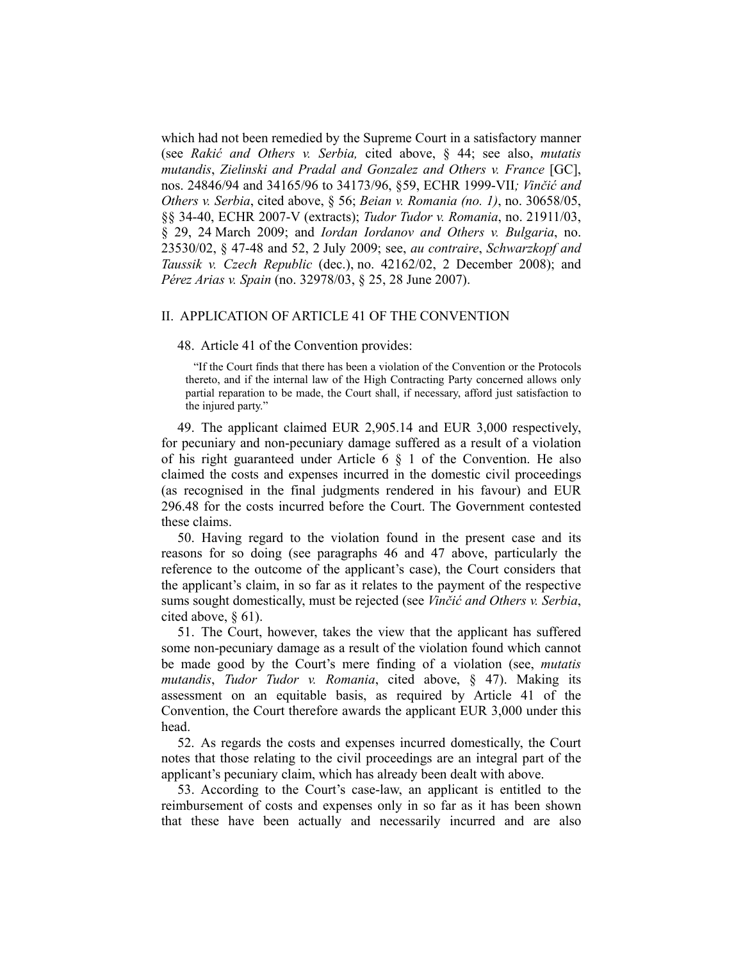which had not been remedied by the Supreme Court in a satisfactory manner (see *Rakić and Others v. Serbia,* cited above, § 44; see also, *mutatis mutandis*, *Zielinski and Pradal and Gonzalez and Others v. France* [GC], nos. 24846/94 and 34165/96 to 34173/96, §59, ECHR 1999-VII*; Vinčić and Others v. Serbia*, cited above, § 56; *Beian v. Romania (no. 1)*, no. 30658/05, §§ 34-40, ECHR 2007-V (extracts); *Tudor Tudor v. Romania*, no. 21911/03, § 29, 24 March 2009; and *Iordan Iordanov and Others v. Bulgaria*, no. 23530/02, § 47-48 and 52, 2 July 2009; see, *au contraire*, *Schwarzkopf and Taussik v. Czech Republic* (dec.), no. 42162/02, 2 December 2008); and *Pérez Arias v. Spain* (no. 32978/03, § 25, 28 June 2007).

## II. APPLICATION OF ARTICLE 41 OF THE CONVENTION

48. Article 41 of the Convention provides:

"If the Court finds that there has been a violation of the Convention or the Protocols thereto, and if the internal law of the High Contracting Party concerned allows only partial reparation to be made, the Court shall, if necessary, afford just satisfaction to the injured party."

49. The applicant claimed EUR 2,905.14 and EUR 3,000 respectively, for pecuniary and non-pecuniary damage suffered as a result of a violation of his right guaranteed under Article  $6 \S 1$  of the Convention. He also claimed the costs and expenses incurred in the domestic civil proceedings (as recognised in the final judgments rendered in his favour) and EUR 296.48 for the costs incurred before the Court. The Government contested these claims.

50. Having regard to the violation found in the present case and its reasons for so doing (see paragraphs 46 and 47 above, particularly the reference to the outcome of the applicant's case), the Court considers that the applicant's claim, in so far as it relates to the payment of the respective sums sought domestically, must be rejected (see *Vinčić and Others v. Serbia*, cited above, § 61).

51. The Court, however, takes the view that the applicant has suffered some non-pecuniary damage as a result of the violation found which cannot be made good by the Court's mere finding of a violation (see, *mutatis mutandis*, *Tudor Tudor v. Romania*, cited above, § 47). Making its assessment on an equitable basis, as required by Article 41 of the Convention, the Court therefore awards the applicant EUR 3,000 under this head.

52. As regards the costs and expenses incurred domestically, the Court notes that those relating to the civil proceedings are an integral part of the applicant's pecuniary claim, which has already been dealt with above.

53. According to the Court's case-law, an applicant is entitled to the reimbursement of costs and expenses only in so far as it has been shown that these have been actually and necessarily incurred and are also